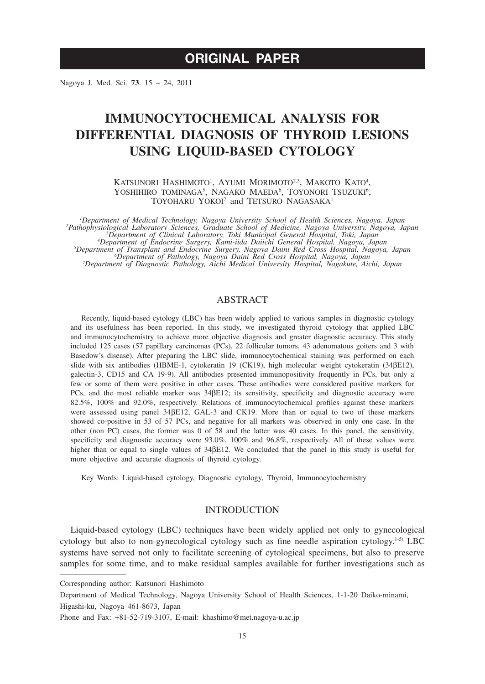# **ORIGINAL PAPER**

Nagoya J. Med. Sci. **73**. 15 ~ 24, 2011

# **IMMUNOCYTOCHEMICAL ANALYSIS FOR DIFFERENTIAL DIAGNOSIS OF THYROID LESIONS USING LIQUID-BASED CYTOLOGY**

KATSUNORI HASHIMOTO<sup>1</sup>, AYUMI MORIMOTO<sup>2,3</sup>, MAKOTO KATO<sup>4</sup>, YOSHIHIRO TOMINAGA<sup>5</sup>, NAGAKO MAEDA<sup>6</sup>, TOYONORI TSUZUKI<sup>6</sup>, TOYOHARU YOKOI<sup>7</sup> and TETSURO NAGASAKA<sup>1</sup>

<sup>1</sup>Department of Medical Technology, Nagoya University School of Health Sciences, Nagoya, Japan<sup>2</sup><br>
<sup>2</sup>Pathophysiological Laboratory Sciences, Graduate School of Medicine, Nagoya University, Nagoya, Japan<sup>3</sup><br>
<sup>3</sup>Department *Department of Pathology, Nagoya Daini Red Cross Hospital, Nagoya, Japan <sup>7</sup> Department of Diagnostic Pathology, Aichi Medical University Hospital, Nagakute, Aichi, Japan*

# ABSTRACT

Recently, liquid-based cytology (LBC) has been widely applied to various samples in diagnostic cytology and its usefulness has been reported. In this study, we investigated thyroid cytology that applied LBC and immunocytochemistry to achieve more objective diagnosis and greater diagnostic accuracy. This study included 125 cases (57 papillary carcinomas (PCs), 22 follicular tumors, 43 adenomatous goiters and 3 with Basedow's disease). After preparing the LBC slide, immunocytochemical staining was performed on each slide with six antibodies (HBME-1, cytokeratin 19 (CK19), high molecular weight cytokeratin (34βE12), galectin-3, CD15 and CA 19-9). All antibodies presented immunopositivity frequently in PCs, but only a few or some of them were positive in other cases. These antibodies were considered positive markers for PCs, and the most reliable marker was 34βE12; its sensitivity, specificity and diagnostic accuracy were 82.5%, 100% and 92.0%, respectively. Relations of immunocytochemical profiles against these markers were assessed using panel 34βE12, GAL-3 and CK19. More than or equal to two of these markers showed co-positive in 53 of 57 PCs, and negative for all markers was observed in only one case. In the other (non PC) cases, the former was 0 of 58 and the latter was 40 cases. In this panel, the sensitivity, specificity and diagnostic accuracy were 93.0%, 100% and 96.8%, respectively. All of these values were higher than or equal to single values of 34βE12. We concluded that the panel in this study is useful for more objective and accurate diagnosis of thyroid cytology.

Key Words: Liquid-based cytology, Diagnostic cytology, Thyroid, Immunocytochemistry

# INTRODUCTION

Liquid-based cytology (LBC) techniques have been widely applied not only to gynecological cytology but also to non-gynecological cytology such as fine needle aspiration cytology.<sup>1-5)</sup> LBC systems have served not only to facilitate screening of cytological specimens, but also to preserve samples for some time, and to make residual samples available for further investigations such as

Corresponding author: Katsunori Hashimoto

Department of Medical Technology, Nagoya University School of Health Sciences, 1-1-20 Daiko-minami, Higashi-ku, Nagoya 461-8673, Japan

Phone and Fax: +81-52-719-3107, E-mail: khashimo@met.nagoya-u.ac.jp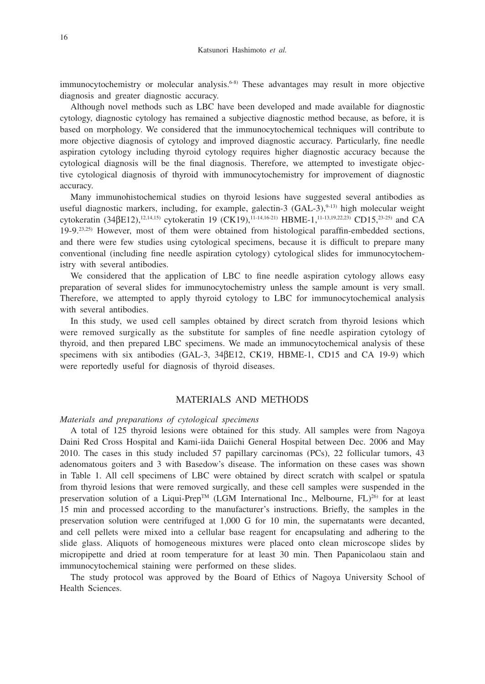immunocytochemistry or molecular analysis.<sup>6-8)</sup> These advantages may result in more objective diagnosis and greater diagnostic accuracy.

Although novel methods such as LBC have been developed and made available for diagnostic cytology, diagnostic cytology has remained a subjective diagnostic method because, as before, it is based on morphology. We considered that the immunocytochemical techniques will contribute to more objective diagnosis of cytology and improved diagnostic accuracy. Particularly, fine needle aspiration cytology including thyroid cytology requires higher diagnostic accuracy because the cytological diagnosis will be the final diagnosis. Therefore, we attempted to investigate objective cytological diagnosis of thyroid with immunocytochemistry for improvement of diagnostic accuracy.

Many immunohistochemical studies on thyroid lesions have suggested several antibodies as useful diagnostic markers, including, for example, galectin-3  $(GAL-3)$ ,  $9-13$  high molecular weight cytokeratin (34βE12),<sup>12,14,15)</sup> cytokeratin 19 (CK19),<sup>11-14,16-21)</sup> HBME-1,<sup>11-13,19,22,23)</sup> CD15,<sup>23-25)</sup> and CA 19-9.23,25) However, most of them were obtained from histological paraffin-embedded sections, and there were few studies using cytological specimens, because it is difficult to prepare many conventional (including fine needle aspiration cytology) cytological slides for immunocytochemistry with several antibodies.

We considered that the application of LBC to fine needle aspiration cytology allows easy preparation of several slides for immunocytochemistry unless the sample amount is very small. Therefore, we attempted to apply thyroid cytology to LBC for immunocytochemical analysis with several antibodies.

In this study, we used cell samples obtained by direct scratch from thyroid lesions which were removed surgically as the substitute for samples of fine needle aspiration cytology of thyroid, and then prepared LBC specimens. We made an immunocytochemical analysis of these specimens with six antibodies (GAL-3, 34βE12, CK19, HBME-1, CD15 and CA 19-9) which were reportedly useful for diagnosis of thyroid diseases.

# MATERIALS AND METHODS

#### *Materials and preparations of cytological specimens*

A total of 125 thyroid lesions were obtained for this study. All samples were from Nagoya Daini Red Cross Hospital and Kami-iida Daiichi General Hospital between Dec. 2006 and May 2010. The cases in this study included 57 papillary carcinomas (PCs), 22 follicular tumors, 43 adenomatous goiters and 3 with Basedow's disease. The information on these cases was shown in Table 1. All cell specimens of LBC were obtained by direct scratch with scalpel or spatula from thyroid lesions that were removed surgically, and these cell samples were suspended in the preservation solution of a Liqui-Prep<sup>TM</sup> (LGM International Inc., Melbourne,  $FL$ )<sup>26)</sup> for at least 15 min and processed according to the manufacturer's instructions. Briefly, the samples in the preservation solution were centrifuged at 1,000 G for 10 min, the supernatants were decanted, and cell pellets were mixed into a cellular base reagent for encapsulating and adhering to the slide glass. Aliquots of homogeneous mixtures were placed onto clean microscope slides by micropipette and dried at room temperature for at least 30 min. Then Papanicolaou stain and immunocytochemical staining were performed on these slides.

The study protocol was approved by the Board of Ethics of Nagoya University School of Health Sciences.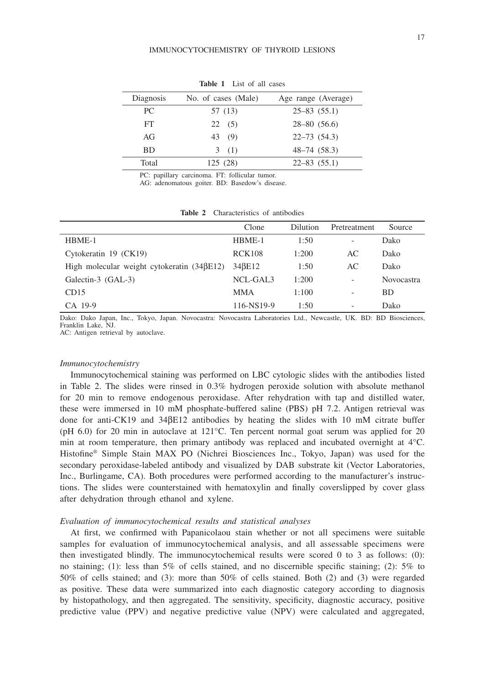#### IMMUNOCYTOCHEMISTRY OF THYROID LESIONS

| <b>LADIC</b> 1 LIST OF ALL CASES |                     |                     |  |  |  |  |
|----------------------------------|---------------------|---------------------|--|--|--|--|
| Diagnosis                        | No. of cases (Male) | Age range (Average) |  |  |  |  |
| PC                               | 57 (13)             | $25 - 83$ $(55.1)$  |  |  |  |  |
| FT                               | 22(5)               | $28 - 80(56.6)$     |  |  |  |  |
| AG                               | (9)<br>43           | $22 - 73$ $(54.3)$  |  |  |  |  |
| <b>BD</b>                        | 3(1)                | $48 - 74$ $(58.3)$  |  |  |  |  |
| Total                            | 125 (28)            | $22 - 83$ $(55.1)$  |  |  |  |  |

**Table 1** List of all cases

PC: papillary carcinoma. FT: follicular tumor.

AG: adenomatous goiter. BD: Basedow's disease.

|                                                   | Clone         | <b>Dilution</b> | Pretreatment | Source            |
|---------------------------------------------------|---------------|-----------------|--------------|-------------------|
| HBME-1                                            | HBME-1        | 1:50            |              | Dako              |
| Cytokeratin 19 (CK19)                             | <b>RCK108</b> | 1:200           | AC           | Dako              |
| High molecular weight cytokeratin $(34\beta E12)$ | 34BE12        | 1:50            | AC           | Dako              |
| Galectin-3 (GAL-3)                                | NCL-GAL3      | 1:200           | -            | <b>Novocastra</b> |
| CD15                                              | <b>MMA</b>    | 1:100           |              | <b>BD</b>         |
| CA 19-9                                           | 116-NS19-9    | 1:50            | -            | Dako              |

|  | <b>Table 2</b> Characteristics of antibodies |  |
|--|----------------------------------------------|--|

Dako: Dako Japan, Inc., Tokyo, Japan. Novocastra: Novocastra Laboratories Ltd., Newcastle, UK. BD: BD Biosciences, Franklin Lake, NJ. AC: Antigen retrieval by autoclave.

## *Immunocytochemistry*

Immunocytochemical staining was performed on LBC cytologic slides with the antibodies listed in Table 2. The slides were rinsed in 0.3% hydrogen peroxide solution with absolute methanol for 20 min to remove endogenous peroxidase. After rehydration with tap and distilled water, these were immersed in 10 mM phosphate-buffered saline (PBS) pH 7.2. Antigen retrieval was done for anti-CK19 and 34βE12 antibodies by heating the slides with 10 mM citrate buffer (pH 6.0) for 20 min in autoclave at 121°C. Ten percent normal goat serum was applied for 20 min at room temperature, then primary antibody was replaced and incubated overnight at 4°C. Histofine® Simple Stain MAX PO (Nichrei Biosciences Inc., Tokyo, Japan) was used for the secondary peroxidase-labeled antibody and visualized by DAB substrate kit (Vector Laboratories, Inc., Burlingame, CA). Both procedures were performed according to the manufacturer's instructions. The slides were counterstained with hematoxylin and finally coverslipped by cover glass after dehydration through ethanol and xylene.

### *Evaluation of immunocytochemical results and statistical analyses*

At first, we confirmed with Papanicolaou stain whether or not all specimens were suitable samples for evaluation of immunocytochemical analysis, and all assessable specimens were then investigated blindly. The immunocytochemical results were scored 0 to 3 as follows: (0): no staining; (1): less than 5% of cells stained, and no discernible specific staining; (2): 5% to 50% of cells stained; and (3): more than 50% of cells stained. Both (2) and (3) were regarded as positive. These data were summarized into each diagnostic category according to diagnosis by histopathology, and then aggregated. The sensitivity, specificity, diagnostic accuracy, positive predictive value (PPV) and negative predictive value (NPV) were calculated and aggregated,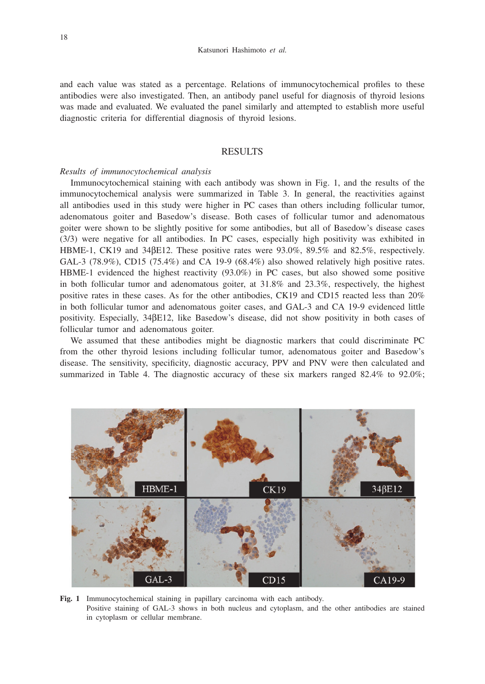and each value was stated as a percentage. Relations of immunocytochemical profiles to these antibodies were also investigated. Then, an antibody panel useful for diagnosis of thyroid lesions was made and evaluated. We evaluated the panel similarly and attempted to establish more useful diagnostic criteria for differential diagnosis of thyroid lesions.

# RESULTS

# *Results of immunocytochemical analysis*

Immunocytochemical staining with each antibody was shown in Fig. 1, and the results of the immunocytochemical analysis were summarized in Table 3. In general, the reactivities against all antibodies used in this study were higher in PC cases than others including follicular tumor, adenomatous goiter and Basedow's disease. Both cases of follicular tumor and adenomatous goiter were shown to be slightly positive for some antibodies, but all of Basedow's disease cases (3/3) were negative for all antibodies. In PC cases, especially high positivity was exhibited in HBME-1, CK19 and 34βE12. These positive rates were 93.0%, 89.5% and 82.5%, respectively. GAL-3 (78.9%), CD15 (75.4%) and CA 19-9 (68.4%) also showed relatively high positive rates. HBME-1 evidenced the highest reactivity (93.0%) in PC cases, but also showed some positive in both follicular tumor and adenomatous goiter, at  $31.8\%$  and  $23.3\%$ , respectively, the highest positive rates in these cases. As for the other antibodies, CK19 and CD15 reacted less than 20% in both follicular tumor and adenomatous goiter cases, and GAL-3 and CA 19-9 evidenced little positivity. Especially, 34βE12, like Basedow's disease, did not show positivity in both cases of follicular tumor and adenomatous goiter.

We assumed that these antibodies might be diagnostic markers that could discriminate PC from the other thyroid lesions including follicular tumor, adenomatous goiter and Basedow's disease. The sensitivity, specificity, diagnostic accuracy, PPV and PNV were then calculated and summarized in Table 4. The diagnostic accuracy of these six markers ranged 82.4% to 92.0%;



**Fig. 1** Immunocytochemical staining in papillary carcinoma with each antibody. Positive staining of GAL-3 shows in both nucleus and cytoplasm, and the other antibodies are stained in cytoplasm or cellular membrane.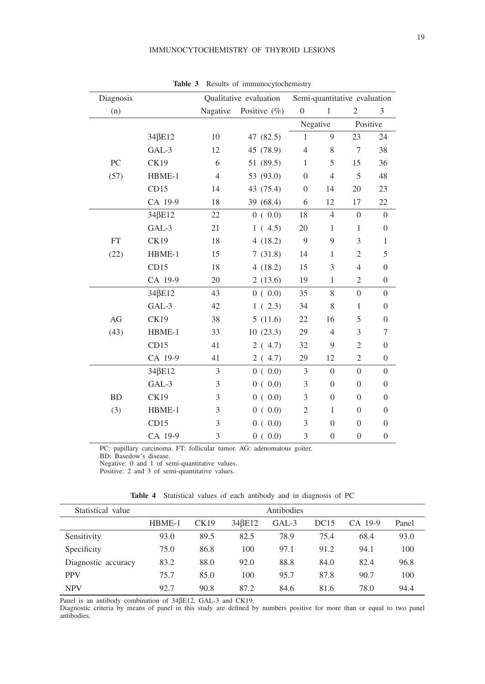## IMMUNOCYTOCHEMISTRY OF THYROID LESIONS

| Diagnosis        |               | Semi-quantitative evaluation<br>Qualitative evaluation |                 |                                |                  |                  |                  |
|------------------|---------------|--------------------------------------------------------|-----------------|--------------------------------|------------------|------------------|------------------|
| (n)              |               | Nagative                                               | Positive $(\%)$ | $\overline{0}$<br>$\mathbf{1}$ |                  | $\overline{2}$   | 3                |
|                  |               |                                                        |                 | Negative                       |                  | Positive         |                  |
|                  | 34 BE12       | 10                                                     | 47 (82.5)       | $\mathbf{1}$                   | 9                | 23               | 24               |
|                  | GAL-3         | 12                                                     | 45 (78.9)       | $\overline{4}$                 | 8                | $\tau$           | 38               |
| ${\rm P}{\bf C}$ | CK19          | 6                                                      | 51 (89.5)       | $\mathbf{1}$                   | 5                | 15               | 36               |
| (57)             | HBME-1        | $\overline{4}$                                         | 53 (93.0)       | $\theta$                       | $\overline{4}$   | 5                | 48               |
|                  | CD15          | 14                                                     | 43 (75.4)       | $\theta$                       | 14               | 20               | 23               |
|                  | CA 19-9       | 18                                                     | 39 (68.4)       | 6                              | 12               | 17               | 22               |
|                  | $34\beta E12$ | 22                                                     | 0(0.0)          | 18                             | $\overline{4}$   | $\theta$         | $\boldsymbol{0}$ |
|                  | GAL-3         | 21                                                     | 1(4.5)          | $20\,$                         | $\mathbf{1}$     | $\mathbf{1}$     | $\boldsymbol{0}$ |
| FT               | <b>CK19</b>   | 18                                                     | 4(18.2)         | $\overline{9}$                 | 9                | 3                | $\mathbf{1}$     |
| (22)             | HBME-1        | 15                                                     | 7(31.8)         | 14                             | $\mathbf{1}$     | $\mathfrak{2}$   | 5                |
|                  | CD15          | 18                                                     | 4(18.2)         | 15                             | $\mathfrak{Z}$   | $\overline{4}$   | $\boldsymbol{0}$ |
|                  | CA 19-9       | 20                                                     | 2(13.6)         | 19                             | $\mathbf{1}$     | $\mathfrak{2}$   | $\boldsymbol{0}$ |
|                  | 34 BE12       | 43                                                     | 0(0.0)          | 35                             | $\,$ 8 $\,$      | $\overline{0}$   | $\boldsymbol{0}$ |
|                  | GAL-3         | 42                                                     | 1(2.3)          | 34                             | 8                | $\mathbf{1}$     | $\mathbf{0}$     |
| AG               | <b>CK19</b>   | 38                                                     | 5(11.6)         | 22                             | 16               | 5                | $\boldsymbol{0}$ |
| (43)             | HBME-1        | 33                                                     | 10(23.3)        | 29                             | $\overline{4}$   | 3                | 7                |
|                  | CD15          | 41                                                     | 2(4.7)          | 32                             | 9                | $\overline{2}$   | $\boldsymbol{0}$ |
|                  | CA 19-9       | 41                                                     | 2(4.7)          | 29                             | 12               | $\overline{2}$   | $\boldsymbol{0}$ |
|                  | 34 BE12       | 3                                                      | 0(0.0)          | $\mathfrak{Z}$                 | $\boldsymbol{0}$ | $\boldsymbol{0}$ | $\boldsymbol{0}$ |
|                  | GAL-3         | 3                                                      | 0(0.0)          | $\mathfrak{Z}$                 | $\overline{0}$   | $\overline{0}$   | $\mathbf{0}$     |
| <b>BD</b>        | CK19          | 3                                                      | 0(0.0)          | 3                              | $\theta$         | $\overline{0}$   | $\boldsymbol{0}$ |
| (3)              | HBME-1        | 3                                                      | 0(0.0)          | $\overline{2}$                 | $\mathbf{1}$     | $\overline{0}$   | $\mathbf{0}$     |
|                  | CD15          | 3                                                      | 0(0.0)          | 3                              | $\theta$         | $\overline{0}$   | $\boldsymbol{0}$ |
|                  | CA 19-9       | 3                                                      | 0(0.0)          | 3                              | $\Omega$         | $\overline{0}$   | $\boldsymbol{0}$ |

**Table 3** Results of immunocytochemistry

PC: papillary carcinoma. FT: follicular tumor. AG: adenomatous goiter.

BD: Basedow's disease.

Negative: 0 and 1 of semi-quantitative values.

Positive: 2 and 3 of semi-quantitative values.

**Table 4** Statistical values of each antibody and in diagnosis of PC

| Statistical value   | Antibodies |      |        |       |      |         |       |
|---------------------|------------|------|--------|-------|------|---------|-------|
|                     | HBME-1     | CK19 | 34BE12 | GAL-3 | DC15 | CA 19-9 | Panel |
| Sensitivity         | 93.0       | 89.5 | 82.5   | 78.9  | 75.4 | 68.4    | 93.0  |
| Specificity         | 75.0       | 86.8 | 100    | 97.1  | 91.2 | 94.1    | 100   |
| Diagnostic accuracy | 83.2       | 88.0 | 92.0   | 88.8  | 84.0 | 82.4    | 96.8  |
| <b>PPV</b>          | 75.7       | 85.0 | 100    | 95.7  | 87.8 | 90.7    | 100   |
| <b>NPV</b>          | 92.7       | 90.8 | 87.2   | 84.6  | 81.6 | 78.0    | 94.4  |

Panel is an antibody combination of 34βE12, GAL-3 and CK19. Diagnostic criteria by means of panel in this study are defined by numbers positive for more than or equal to two panel antibodies.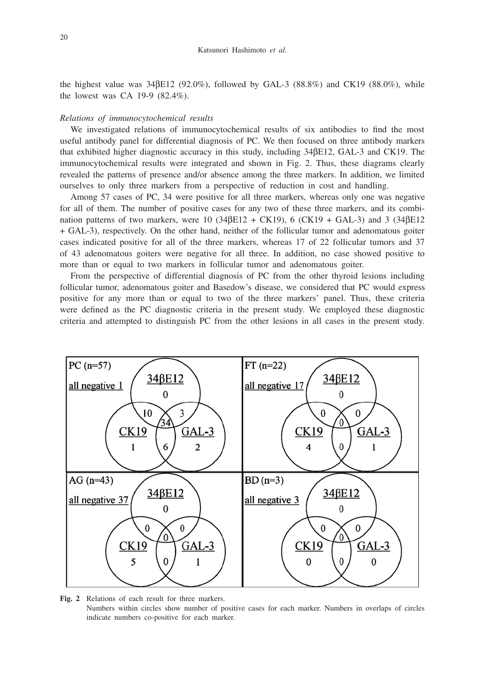the highest value was  $34\beta E12$  (92.0%), followed by GAL-3 (88.8%) and CK19 (88.0%), while the lowest was CA 19-9 (82.4%).

## *Relations of immunocytochemical results*

We investigated relations of immunocytochemical results of six antibodies to find the most useful antibody panel for differential diagnosis of PC. We then focused on three antibody markers that exhibited higher diagnostic accuracy in this study, including 34βE12, GAL-3 and CK19. The immunocytochemical results were integrated and shown in Fig. 2. Thus, these diagrams clearly revealed the patterns of presence and/or absence among the three markers. In addition, we limited ourselves to only three markers from a perspective of reduction in cost and handling.

Among 57 cases of PC, 34 were positive for all three markers, whereas only one was negative for all of them. The number of positive cases for any two of these three markers, and its combination patterns of two markers, were  $10(34\beta E12 + CK19)$ , 6 (CK19 + GAL-3) and 3 (34 $\beta E12$ + GAL-3), respectively. On the other hand, neither of the follicular tumor and adenomatous goiter cases indicated positive for all of the three markers, whereas 17 of 22 follicular tumors and 37 of 43 adenomatous goiters were negative for all three. In addition, no case showed positive to more than or equal to two markers in follicular tumor and adenomatous goiter.

From the perspective of differential diagnosis of PC from the other thyroid lesions including follicular tumor, adenomatous goiter and Basedow's disease, we considered that PC would express positive for any more than or equal to two of the three markers' panel. Thus, these criteria were defined as the PC diagnostic criteria in the present study. We employed these diagnostic criteria and attempted to distinguish PC from the other lesions in all cases in the present study.



**Fig. 2** Relations of each result for three markers. Numbers within circles show number of positive cases for each marker. Numbers in overlaps of circles indicate numbers co-positive for each marker.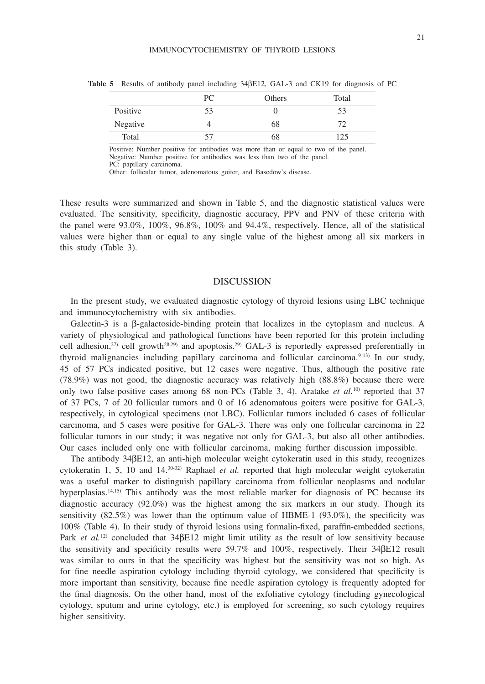|          | PC. | Others | Total |
|----------|-----|--------|-------|
| Positive |     |        | 53    |
| Negative |     | 68     | 72    |
| Total    |     | 68     | 125   |

**Table 5** Results of antibody panel including 34βE12, GAL-3 and CK19 for diagnosis of PC

Positive: Number positive for antibodies was more than or equal to two of the panel. Negative: Number positive for antibodies was less than two of the panel. PC: papillary carcinoma.

Other: follicular tumor, adenomatous goiter, and Basedow's disease.

These results were summarized and shown in Table 5, and the diagnostic statistical values were evaluated. The sensitivity, specificity, diagnostic accuracy, PPV and PNV of these criteria with the panel were 93.0%, 100%, 96.8%, 100% and 94.4%, respectively. Hence, all of the statistical values were higher than or equal to any single value of the highest among all six markers in this study (Table 3).

# DISCUSSION

In the present study, we evaluated diagnostic cytology of thyroid lesions using LBC technique and immunocytochemistry with six antibodies.

Galectin-3 is a β-galactoside-binding protein that localizes in the cytoplasm and nucleus. A variety of physiological and pathological functions have been reported for this protein including cell adhesion,<sup>27)</sup> cell growth<sup>28,29)</sup> and apoptosis.<sup>29)</sup> GAL-3 is reportedly expressed preferentially in thyroid malignancies including papillary carcinoma and follicular carcinoma.<sup>9-13)</sup> In our study, 45 of 57 PCs indicated positive, but 12 cases were negative. Thus, although the positive rate (78.9%) was not good, the diagnostic accuracy was relatively high (88.8%) because there were only two false-positive cases among 68 non-PCs (Table 3, 4). Aratake *et al.*<sup>10</sup> reported that 37 of 37 PCs, 7 of 20 follicular tumors and 0 of 16 adenomatous goiters were positive for GAL-3, respectively, in cytological specimens (not LBC). Follicular tumors included 6 cases of follicular carcinoma, and 5 cases were positive for GAL-3. There was only one follicular carcinoma in 22 follicular tumors in our study; it was negative not only for GAL-3, but also all other antibodies. Our cases included only one with follicular carcinoma, making further discussion impossible.

The antibody 34βE12, an anti-high molecular weight cytokeratin used in this study, recognizes cytokeratin 1, 5, 10 and 14.30-32) Raphael *et al.* reported that high molecular weight cytokeratin was a useful marker to distinguish papillary carcinoma from follicular neoplasms and nodular hyperplasias.<sup>14,15)</sup> This antibody was the most reliable marker for diagnosis of PC because its diagnostic accuracy (92.0%) was the highest among the six markers in our study. Though its sensitivity  $(82.5\%)$  was lower than the optimum value of HBME-1  $(93.0\%)$ , the specificity was 100% (Table 4). In their study of thyroid lesions using formalin-fixed, paraffin-embedded sections, Park *et al.*12) concluded that 34βE12 might limit utility as the result of low sensitivity because the sensitivity and specificity results were 59.7% and 100%, respectively. Their 34βE12 result was similar to ours in that the specificity was highest but the sensitivity was not so high. As for fine needle aspiration cytology including thyroid cytology, we considered that specificity is more important than sensitivity, because fine needle aspiration cytology is frequently adopted for the final diagnosis. On the other hand, most of the exfoliative cytology (including gynecological cytology, sputum and urine cytology, etc.) is employed for screening, so such cytology requires higher sensitivity.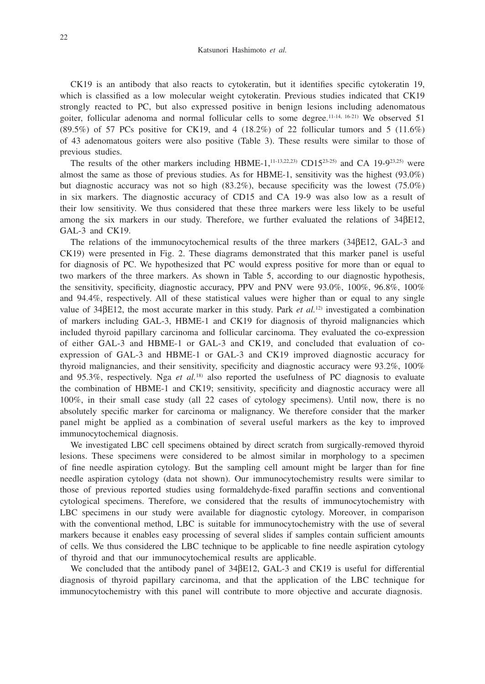CK19 is an antibody that also reacts to cytokeratin, but it identifies specific cytokeratin 19, which is classified as a low molecular weight cytokeratin. Previous studies indicated that CK19 strongly reacted to PC, but also expressed positive in benign lesions including adenomatous goiter, follicular adenoma and normal follicular cells to some degree.<sup>11-14, 16-21)</sup> We observed 51  $(89.5\%)$  of 57 PCs positive for CK19, and 4  $(18.2\%)$  of 22 follicular tumors and 5  $(11.6\%)$ of 43 adenomatous goiters were also positive (Table 3). These results were similar to those of previous studies.

The results of the other markers including HBME-1,<sup>11-13,22,23)</sup> CD15<sup>23-25)</sup> and CA 19-9<sup>23,25)</sup> were almost the same as those of previous studies. As for HBME-1, sensitivity was the highest (93.0%) but diagnostic accuracy was not so high  $(83.2\%)$ , because specificity was the lowest  $(75.0\%)$ in six markers. The diagnostic accuracy of CD15 and CA 19-9 was also low as a result of their low sensitivity. We thus considered that these three markers were less likely to be useful among the six markers in our study. Therefore, we further evaluated the relations of 34βE12, GAL-3 and CK19.

The relations of the immunocytochemical results of the three markers (34βE12, GAL-3 and CK19) were presented in Fig. 2. These diagrams demonstrated that this marker panel is useful for diagnosis of PC. We hypothesized that PC would express positive for more than or equal to two markers of the three markers. As shown in Table 5, according to our diagnostic hypothesis, the sensitivity, specificity, diagnostic accuracy, PPV and PNV were 93.0%, 100%, 96.8%, 100% and 94.4%, respectively. All of these statistical values were higher than or equal to any single value of 34βE12, the most accurate marker in this study. Park *et al.*12) investigated a combination of markers including GAL-3, HBME-1 and CK19 for diagnosis of thyroid malignancies which included thyroid papillary carcinoma and follicular carcinoma. They evaluated the co-expression of either GAL-3 and HBME-1 or GAL-3 and CK19, and concluded that evaluation of coexpression of GAL-3 and HBME-1 or GAL-3 and CK19 improved diagnostic accuracy for thyroid malignancies, and their sensitivity, specificity and diagnostic accuracy were 93.2%, 100% and 95.3%, respectively. Nga *et al.*18) also reported the usefulness of PC diagnosis to evaluate the combination of HBME-1 and CK19; sensitivity, specificity and diagnostic accuracy were all 100%, in their small case study (all 22 cases of cytology specimens). Until now, there is no absolutely specific marker for carcinoma or malignancy. We therefore consider that the marker panel might be applied as a combination of several useful markers as the key to improved immunocytochemical diagnosis.

We investigated LBC cell specimens obtained by direct scratch from surgically-removed thyroid lesions. These specimens were considered to be almost similar in morphology to a specimen of fine needle aspiration cytology. But the sampling cell amount might be larger than for fine needle aspiration cytology (data not shown). Our immunocytochemistry results were similar to those of previous reported studies using formaldehyde-fixed paraffin sections and conventional cytological specimens. Therefore, we considered that the results of immunocytochemistry with LBC specimens in our study were available for diagnostic cytology. Moreover, in comparison with the conventional method, LBC is suitable for immunocytochemistry with the use of several markers because it enables easy processing of several slides if samples contain sufficient amounts of cells. We thus considered the LBC technique to be applicable to fine needle aspiration cytology of thyroid and that our immunocytochemical results are applicable.

We concluded that the antibody panel of 34βE12, GAL-3 and CK19 is useful for differential diagnosis of thyroid papillary carcinoma, and that the application of the LBC technique for immunocytochemistry with this panel will contribute to more objective and accurate diagnosis.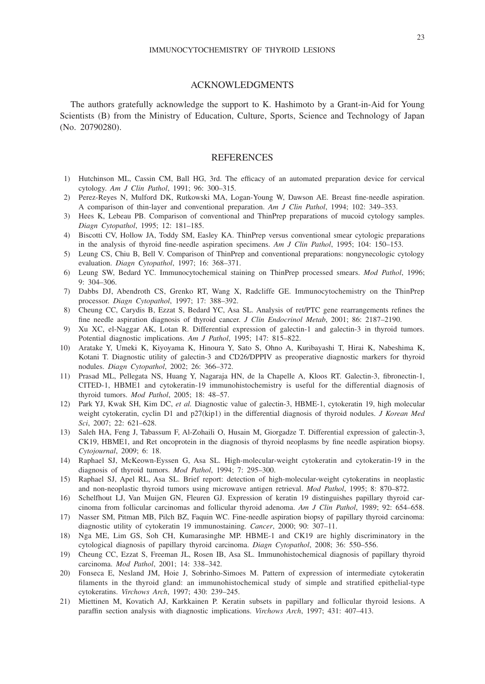# ACKNOWLEDGMENTS

The authors gratefully acknowledge the support to K. Hashimoto by a Grant-in-Aid for Young Scientists (B) from the Ministry of Education, Culture, Sports, Science and Technology of Japan (No. 20790280).

## **REFERENCES**

- 1) Hutchinson ML, Cassin CM, Ball HG, 3rd. The efficacy of an automated preparation device for cervical cytology. *Am J Clin Pathol*, 1991; 96: 300–315.
- 2) Perez-Reyes N, Mulford DK, Rutkowski MA, Logan-Young W, Dawson AE. Breast fine-needle aspiration. A comparison of thin-layer and conventional preparation. *Am J Clin Pathol*, 1994; 102: 349–353.
- 3) Hees K, Lebeau PB. Comparison of conventional and ThinPrep preparations of mucoid cytology samples. *Diagn Cytopathol*, 1995; 12: 181–185.
- 4) Biscotti CV, Hollow JA, Toddy SM, Easley KA. ThinPrep versus conventional smear cytologic preparations in the analysis of thyroid fine-needle aspiration specimens. *Am J Clin Pathol*, 1995; 104: 150–153.
- 5) Leung CS, Chiu B, Bell V. Comparison of ThinPrep and conventional preparations: nongynecologic cytology evaluation. *Diagn Cytopathol*, 1997; 16: 368–371.
- 6) Leung SW, Bedard YC. Immunocytochemical staining on ThinPrep processed smears. *Mod Pathol*, 1996; 9: 304–306.
- 7) Dabbs DJ, Abendroth CS, Grenko RT, Wang X, Radcliffe GE. Immunocytochemistry on the ThinPrep processor. *Diagn Cytopathol*, 1997; 17: 388–392.
- 8) Cheung CC, Carydis B, Ezzat S, Bedard YC, Asa SL. Analysis of ret/PTC gene rearrangements refines the fine needle aspiration diagnosis of thyroid cancer. *J Clin Endocrinol Metab*, 2001; 86: 2187–2190.
- 9) Xu XC, el-Naggar AK, Lotan R. Differential expression of galectin-1 and galectin-3 in thyroid tumors. Potential diagnostic implications. *Am J Pathol*, 1995; 147: 815–822.
- 10) Aratake Y, Umeki K, Kiyoyama K, Hinoura Y, Sato S, Ohno A, Kuribayashi T, Hirai K, Nabeshima K, Kotani T. Diagnostic utility of galectin-3 and CD26/DPPIV as preoperative diagnostic markers for thyroid nodules. *Diagn Cytopathol*, 2002; 26: 366–372.
- 11) Prasad ML, Pellegata NS, Huang Y, Nagaraja HN, de la Chapelle A, Kloos RT. Galectin-3, fibronectin-1, CITED-1, HBME1 and cytokeratin-19 immunohistochemistry is useful for the differential diagnosis of thyroid tumors. *Mod Pathol*, 2005; 18: 48–57.
- 12) Park YJ, Kwak SH, Kim DC, *et al.* Diagnostic value of galectin-3, HBME-1, cytokeratin 19, high molecular weight cytokeratin, cyclin D1 and p27(kip1) in the differential diagnosis of thyroid nodules. *J Korean Med Sci*, 2007; 22: 621–628.
- 13) Saleh HA, Feng J, Tabassum F, Al-Zohaili O, Husain M, Giorgadze T. Differential expression of galectin-3, CK19, HBME1, and Ret oncoprotein in the diagnosis of thyroid neoplasms by fine needle aspiration biopsy. *Cytojournal*, 2009; 6: 18.
- 14) Raphael SJ, McKeown-Eyssen G, Asa SL. High-molecular-weight cytokeratin and cytokeratin-19 in the diagnosis of thyroid tumors. *Mod Pathol*, 1994; 7: 295–300.
- 15) Raphael SJ, Apel RL, Asa SL. Brief report: detection of high-molecular-weight cytokeratins in neoplastic and non-neoplastic thyroid tumors using microwave antigen retrieval. *Mod Pathol*, 1995; 8: 870–872.
- 16) Schelfhout LJ, Van Muijen GN, Fleuren GJ. Expression of keratin 19 distinguishes papillary thyroid carcinoma from follicular carcinomas and follicular thyroid adenoma. *Am J Clin Pathol*, 1989; 92: 654–658.
- 17) Nasser SM, Pitman MB, Pilch BZ, Faquin WC. Fine-needle aspiration biopsy of papillary thyroid carcinoma: diagnostic utility of cytokeratin 19 immunostaining. *Cancer*, 2000; 90: 307–11.
- 18) Nga ME, Lim GS, Soh CH, Kumarasinghe MP. HBME-1 and CK19 are highly discriminatory in the cytological diagnosis of papillary thyroid carcinoma. *Diagn Cytopathol*, 2008; 36: 550–556.
- 19) Cheung CC, Ezzat S, Freeman JL, Rosen IB, Asa SL. Immunohistochemical diagnosis of papillary thyroid carcinoma. *Mod Pathol*, 2001; 14: 338–342.
- 20) Fonseca E, Nesland JM, Hoie J, Sobrinho-Simoes M. Pattern of expression of intermediate cytokeratin filaments in the thyroid gland: an immunohistochemical study of simple and stratified epithelial-type cytokeratins. *Virchows Arch*, 1997; 430: 239–245.
- 21) Miettinen M, Kovatich AJ, Karkkainen P. Keratin subsets in papillary and follicular thyroid lesions. A paraffin section analysis with diagnostic implications. *Virchows Arch*, 1997; 431: 407–413.